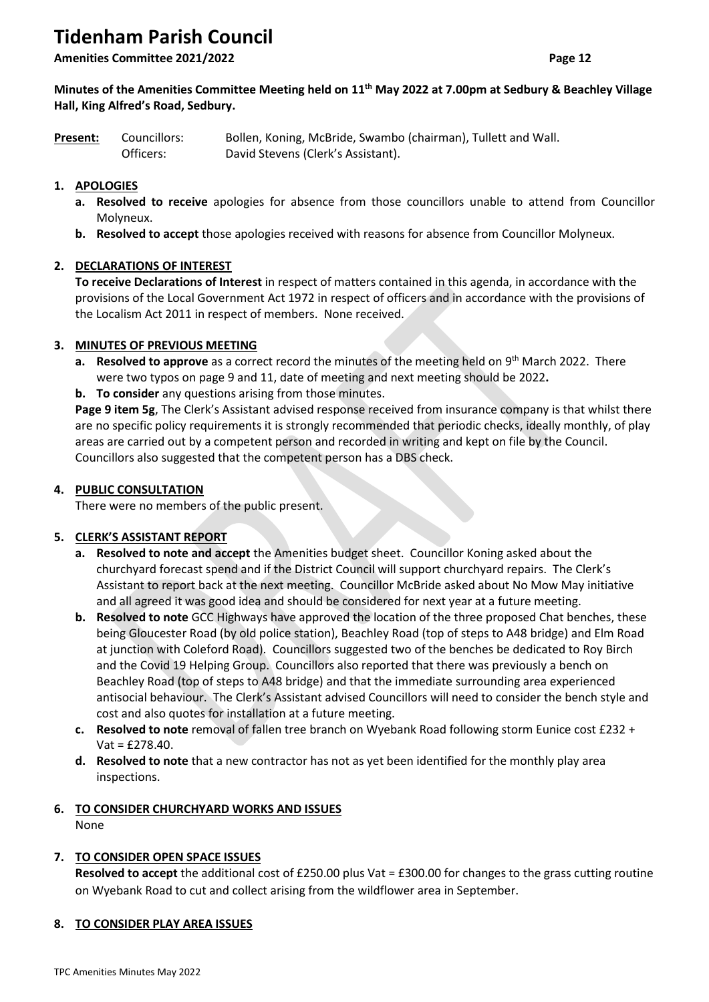# **Tidenham Parish Council**

**Amenities Committee 2021/2022 Page 12**

# **Minutes of the Amenities Committee Meeting held on 11th May 2022 at 7.00pm at Sedbury & Beachley Village Hall, King Alfred's Road, Sedbury.**

| <b>Present:</b> | Councillors: | Bollen, Koning, McBride, Swambo (chairman), Tullett and Wall. |
|-----------------|--------------|---------------------------------------------------------------|
|                 | Officers:    | David Stevens (Clerk's Assistant).                            |

# **1. APOLOGIES**

- **a. Resolved to receive** apologies for absence from those councillors unable to attend from Councillor Molyneux.
- **b. Resolved to accept** those apologies received with reasons for absence from Councillor Molyneux.

# **2. DECLARATIONS OF INTEREST**

**To receive Declarations of Interest** in respect of matters contained in this agenda, in accordance with the provisions of the Local Government Act 1972 in respect of officers and in accordance with the provisions of the Localism Act 2011 in respect of members.None received.

# **3. MINUTES OF PREVIOUS MEETING**

- a. Resolved to approve as a correct record the minutes of the meeting held on 9<sup>th</sup> March 2022. There were two typos on page 9 and 11, date of meeting and next meeting should be 2022**.**
- **b. To consider** any questions arising from those minutes.

**Page 9 item 5g**, The Clerk's Assistant advised response received from insurance company is that whilst there are no specific policy requirements it is strongly recommended that periodic checks, ideally monthly, of play areas are carried out by a competent person and recorded in writing and kept on file by the Council. Councillors also suggested that the competent person has a DBS check.

# **4. PUBLIC CONSULTATION**

There were no members of the public present.

# **5. CLERK'S ASSISTANT REPORT**

- **a. Resolved to note and accept** the Amenities budget sheet. Councillor Koning asked about the churchyard forecast spend and if the District Council will support churchyard repairs. The Clerk's Assistant to report back at the next meeting. Councillor McBride asked about No Mow May initiative and all agreed it was good idea and should be considered for next year at a future meeting.
- **b. Resolved to note** GCC Highways have approved the location of the three proposed Chat benches, these being Gloucester Road (by old police station), Beachley Road (top of steps to A48 bridge) and Elm Road at junction with Coleford Road). Councillors suggested two of the benches be dedicated to Roy Birch and the Covid 19 Helping Group. Councillors also reported that there was previously a bench on Beachley Road (top of steps to A48 bridge) and that the immediate surrounding area experienced antisocial behaviour. The Clerk's Assistant advised Councillors will need to consider the bench style and cost and also quotes for installation at a future meeting.
- **c. Resolved to note** removal of fallen tree branch on Wyebank Road following storm Eunice cost £232 + Vat = £278.40.
- **d. Resolved to note** that a new contractor has not as yet been identified for the monthly play area inspections.

# **6. TO CONSIDER CHURCHYARD WORKS AND ISSUES**

None

# **7. TO CONSIDER OPEN SPACE ISSUES**

**Resolved to accept** the additional cost of £250.00 plus Vat = £300.00 for changes to the grass cutting routine on Wyebank Road to cut and collect arising from the wildflower area in September.

# **8. TO CONSIDER PLAY AREA ISSUES**